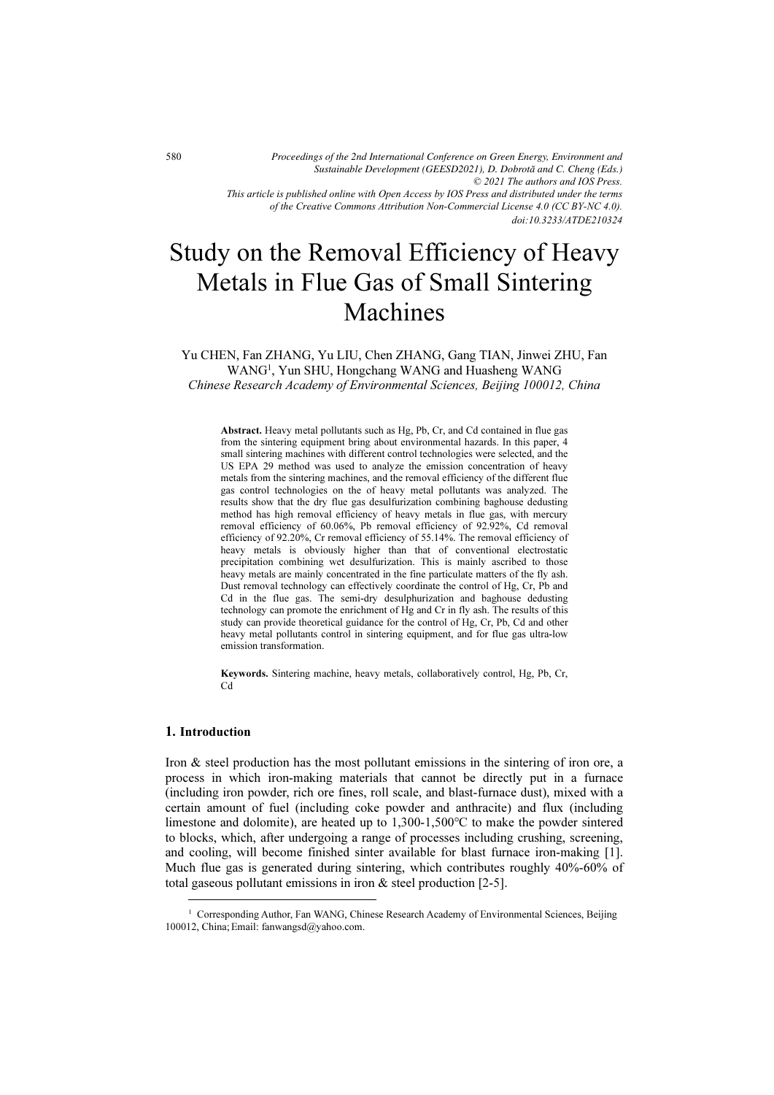*© 2021 The authors and IOS Press. This article is published online with Open Access by IOS Press and distributed under the terms of the Creative Commons Attribution Non-Commercial License 4.0 (CC BY-NC 4.0). Proceedings of the 2nd International Conference on Green Energy, Environment and Sustainable Development (GEESD2021), D. Dobrota˘ and C. Cheng (Eds.)*

*doi:10.3233/ATDE210324*

# Study on the Removal Efficiency of Heavy Metals in Flue Gas of Small Sintering Machines

Yu CHEN, Fan ZHANG, Yu LIU, Chen ZHANG, Gang TIAN, Jinwei ZHU, Fan WANG<sup>1</sup> , Yun SHU, Hongchang WANG and Huasheng WANG Chinese Research Academy of Environmental Sciences, Beijing 100012, China

Abstract. Heavy metal pollutants such as Hg, Pb, Cr, and Cd contained in flue gas from the sintering equipment bring about environmental hazards. In this paper, 4 small sintering machines with different control technologies were selected, and the US EPA 29 method was used to analyze the emission concentration of heavy metals from the sintering machines, and the removal efficiency of the different flue gas control technologies on the of heavy metal pollutants was analyzed. The results show that the dry flue gas desulfurization combining baghouse dedusting method has high removal efficiency of heavy metals in flue gas, with mercury removal efficiency of 60.06%, Pb removal efficiency of 92.92%, Cd removal efficiency of 92.20%, Cr removal efficiency of 55.14%. The removal efficiency of heavy metals is obviously higher than that of conventional electrostatic precipitation combining wet desulfurization. This is mainly ascribed to those heavy metals are mainly concentrated in the fine particulate matters of the fly ash. Dust removal technology can effectively coordinate the control of Hg, Cr, Pb and Cd in the flue gas. The semi-dry desulphurization and baghouse dedusting technology can promote the enrichment of Hg and Cr in fly ash. The results of this study can provide theoretical guidance for the control of Hg, Cr, Pb, Cd and other heavy metal pollutants control in sintering equipment, and for flue gas ultra-low emission transformation.

Keywords. Sintering machine, heavy metals, collaboratively control, Hg, Pb, Cr, Cd

## 1. Introduction

Iron & steel production has the most pollutant emissions in the sintering of iron ore, a process in which iron-making materials that cannot be directly put in a furnace (including iron powder, rich ore fines, roll scale, and blast-furnace dust), mixed with a certain amount of fuel (including coke powder and anthracite) and flux (including limestone and dolomite), are heated up to 1,300-1,500℃ to make the powder sintered to blocks, which, after undergoing a range of processes including crushing, screening, and cooling, will become finished sinter available for blast furnace iron-making [1]. Much flue gas is generated during sintering, which contributes roughly 40%-60% of total gaseous pollutant emissions in iron & steel production [2-5].

<sup>&</sup>lt;sup>1</sup> Corresponding Author, Fan WANG, Chinese Research Academy of Environmental Sciences, Beijing 100012, China; Email: fanwangsd@yahoo.com.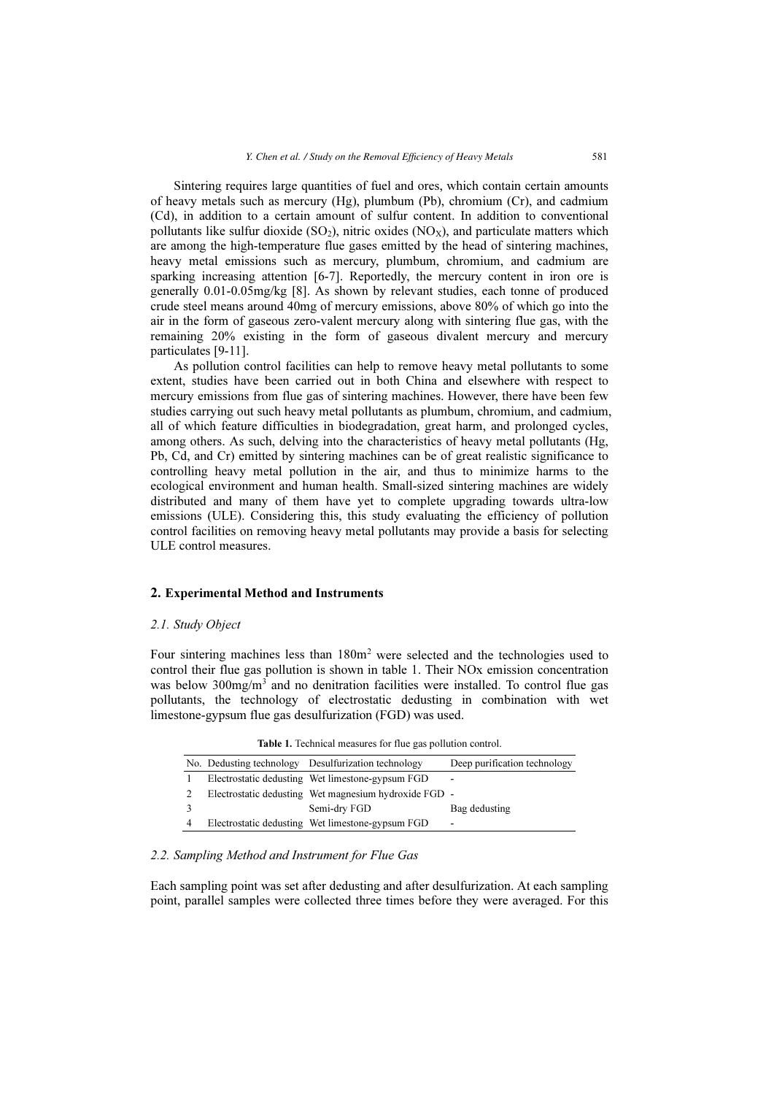Sintering requires large quantities of fuel and ores, which contain certain amounts of heavy metals such as mercury (Hg), plumbum (Pb), chromium (Cr), and cadmium (Cd), in addition to a certain amount of sulfur content. In addition to conventional pollutants like sulfur dioxide  $(SO_2)$ , nitric oxides  $(NO_X)$ , and particulate matters which are among the high-temperature flue gases emitted by the head of sintering machines, heavy metal emissions such as mercury, plumbum, chromium, and cadmium are sparking increasing attention [6-7]. Reportedly, the mercury content in iron ore is generally 0.01-0.05mg/kg [8]. As shown by relevant studies, each tonne of produced crude steel means around 40mg of mercury emissions, above 80% of which go into the air in the form of gaseous zero-valent mercury along with sintering flue gas, with the remaining 20% existing in the form of gaseous divalent mercury and mercury particulates [9-11].

As pollution control facilities can help to remove heavy metal pollutants to some extent, studies have been carried out in both China and elsewhere with respect to mercury emissions from flue gas of sintering machines. However, there have been few studies carrying out such heavy metal pollutants as plumbum, chromium, and cadmium, all of which feature difficulties in biodegradation, great harm, and prolonged cycles, among others. As such, delving into the characteristics of heavy metal pollutants (Hg, Pb, Cd, and Cr) emitted by sintering machines can be of great realistic significance to controlling heavy metal pollution in the air, and thus to minimize harms to the ecological environment and human health. Small-sized sintering machines are widely distributed and many of them have yet to complete upgrading towards ultra-low emissions (ULE). Considering this, this study evaluating the efficiency of pollution control facilities on removing heavy metal pollutants may provide a basis for selecting ULE control measures.

#### 2. Experimental Method and Instruments

#### 2.1. Study Object

Four sintering machines less than 180m<sup>2</sup> were selected and the technologies used to control their flue gas pollution is shown in table 1. Their NOx emission concentration was below  $300$ mg/m<sup>3</sup> and no denitration facilities were installed. To control flue gas pollutants, the technology of electrostatic dedusting in combination with wet limestone-gypsum flue gas desulfurization (FGD) was used.

|                | No. Dedusting technology Desulfurization technology   | Deep purification technology |
|----------------|-------------------------------------------------------|------------------------------|
|                | Electrostatic dedusting Wet limestone-gypsum FGD      | -                            |
| 2              | Electrostatic dedusting Wet magnesium hydroxide FGD - |                              |
| $\mathcal{R}$  | Semi-dry FGD                                          | Bag dedusting                |
| $\overline{4}$ | Electrostatic dedusting Wet limestone-gypsum FGD      | $\overline{\phantom{a}}$     |

Table 1. Technical measures for flue gas pollution control.

## 2.2. Sampling Method and Instrument for Flue Gas

Each sampling point was set after dedusting and after desulfurization. At each sampling point, parallel samples were collected three times before they were averaged. For this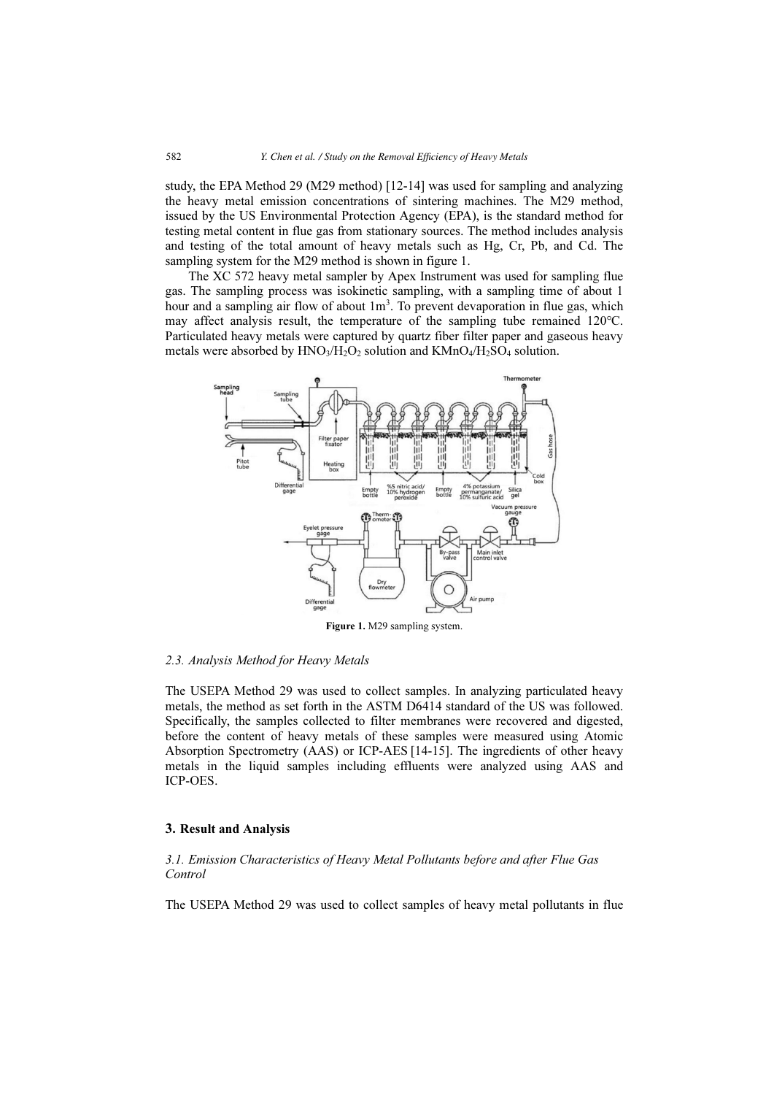study, the EPA Method 29 (M29 method) [12-14] was used for sampling and analyzing the heavy metal emission concentrations of sintering machines. The M29 method, issued by the US Environmental Protection Agency (EPA), is the standard method for testing metal content in flue gas from stationary sources. The method includes analysis and testing of the total amount of heavy metals such as Hg, Cr, Pb, and Cd. The sampling system for the M29 method is shown in figure 1.

The XC 572 heavy metal sampler by Apex Instrument was used for sampling flue gas. The sampling process was isokinetic sampling, with a sampling time of about 1 hour and a sampling air flow of about 1m<sup>3</sup>. To prevent devaporation in flue gas, which may affect analysis result, the temperature of the sampling tube remained 120℃. Particulated heavy metals were captured by quartz fiber filter paper and gaseous heavy metals were absorbed by  $HNO<sub>3</sub>/H<sub>2</sub>O<sub>2</sub>$  solution and  $KMnO<sub>4</sub>/H<sub>2</sub>SO<sub>4</sub>$  solution.



Figure 1. M29 sampling system.

#### 2.3. Analysis Method for Heavy Metals

The USEPA Method 29 was used to collect samples. In analyzing particulated heavy metals, the method as set forth in the ASTM D6414 standard of the US was followed. Specifically, the samples collected to filter membranes were recovered and digested, before the content of heavy metals of these samples were measured using Atomic Absorption Spectrometry (AAS) or ICP-AES [14-15]. The ingredients of other heavy metals in the liquid samples including effluents were analyzed using AAS and ICP-OES.

#### 3. Result and Analysis

## 3.1. Emission Characteristics of Heavy Metal Pollutants before and after Flue Gas Control

The USEPA Method 29 was used to collect samples of heavy metal pollutants in flue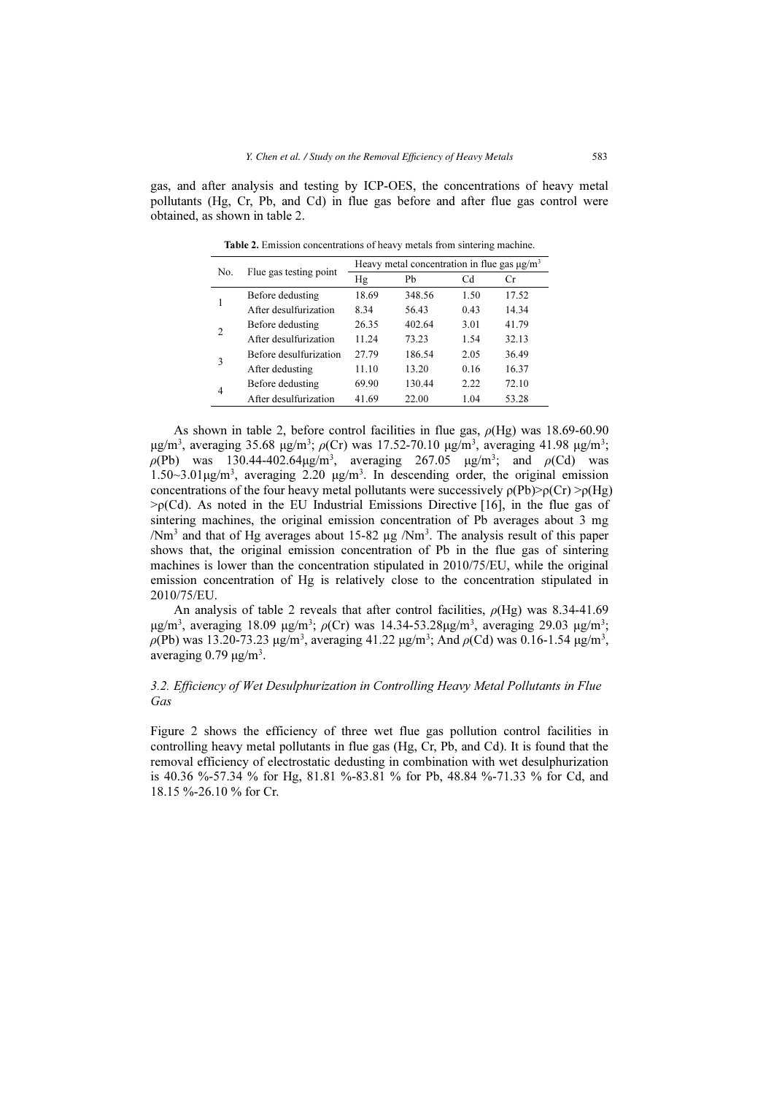gas, and after analysis and testing by ICP-OES, the concentrations of heavy metal pollutants (Hg, Cr, Pb, and Cd) in flue gas before and after flue gas control were obtained, as shown in table 2.

| No. |                        | Heavy metal concentration in flue gas $\mu$ g/m <sup>3</sup> |        |      |       |  |
|-----|------------------------|--------------------------------------------------------------|--------|------|-------|--|
|     | Flue gas testing point | Hg                                                           | Pb     | Cd   | Cr    |  |
|     | Before dedusting       | 18.69                                                        | 348.56 | 1.50 | 17.52 |  |
|     | After desulfurization  | 8.34                                                         | 56.43  | 0.43 | 14.34 |  |
|     | Before dedusting       | 26.35                                                        | 402.64 | 3.01 | 41.79 |  |
| 2   | After desulfurization  | 11.24                                                        | 73.23  | 1.54 | 32.13 |  |
| 3   | Before desulfurization | 27.79                                                        | 186.54 | 2.05 | 36.49 |  |
|     | After dedusting        | 11.10                                                        | 13.20  | 0.16 | 16.37 |  |
|     | Before dedusting       | 69.90                                                        | 130.44 | 2.22 | 72.10 |  |
| 4   | After desulfurization  | 41.69                                                        | 22.00  | 1.04 | 53.28 |  |

Table 2. Emission concentrations of heavy metals from sintering machine.

As shown in table 2, before control facilities in flue gas,  $\rho(Hg)$  was 18.69-60.90 μg/m<sup>3</sup>, averaging 35.68 μg/m<sup>3</sup>;  $\rho$ (Cr) was 17.52-70.10 μg/m<sup>3</sup>, averaging 41.98 μg/m<sup>3</sup>;  $\rho(Pb)$  was 130.44-402.64μg/m<sup>3</sup>, averaging 267.05 μg/m<sup>3</sup>; and  $\rho(Cd)$  was 1.50~3.01μg/m<sup>3</sup> , averaging 2.20 μg/m<sup>3</sup> . In descending order, the original emission concentrations of the four heavy metal pollutants were successively  $\rho(Pb)$  $\rho(Cr)$   $>$  $\rho(Hg)$  $\geq$ <sub>p</sub>(Cd). As noted in the EU Industrial Emissions Directive [16], in the flue gas of sintering machines, the original emission concentration of Pb averages about 3 mg /Nm<sup>3</sup> and that of Hg averages about 15-82 µg /Nm<sup>3</sup>. The analysis result of this paper shows that, the original emission concentration of Pb in the flue gas of sintering machines is lower than the concentration stipulated in 2010/75/EU, while the original emission concentration of Hg is relatively close to the concentration stipulated in 2010/75/EU.

An analysis of table 2 reveals that after control facilities,  $\rho(Hg)$  was 8.34-41.69 μg/m<sup>3</sup>, averaging 18.09 μg/m<sup>3</sup>;  $ρ$ (Cr) was 14.34-53.28μg/m<sup>3</sup>, averaging 29.03 μg/m<sup>3</sup>;  $\rho$ (Pb) was 13.20-73.23 μg/m<sup>3</sup>, averaging 41.22 μg/m<sup>3</sup>; And  $\rho$ (Cd) was 0.16-1.54 μg/m<sup>3</sup>, averaging  $0.79 \mu g/m^3$ .

# 3.2. Efficiency of Wet Desulphurization in Controlling Heavy Metal Pollutants in Flue Gas

Figure 2 shows the efficiency of three wet flue gas pollution control facilities in controlling heavy metal pollutants in flue gas (Hg, Cr, Pb, and Cd). It is found that the removal efficiency of electrostatic dedusting in combination with wet desulphurization is 40.36 %-57.34 % for Hg, 81.81 %-83.81 % for Pb, 48.84 %-71.33 % for Cd, and 18.15 %-26.10 % for Cr.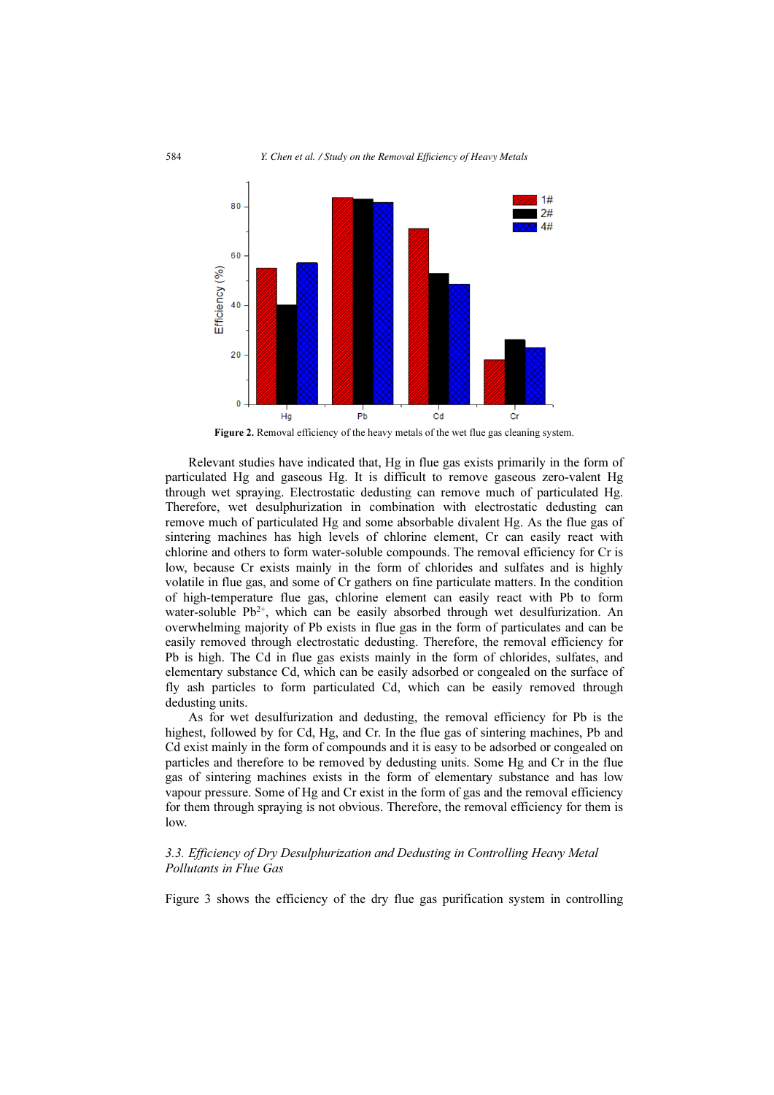

Figure 2. Removal efficiency of the heavy metals of the wet flue gas cleaning system.

Relevant studies have indicated that, Hg in flue gas exists primarily in the form of particulated Hg and gaseous Hg. It is difficult to remove gaseous zero-valent Hg through wet spraying. Electrostatic dedusting can remove much of particulated Hg. Therefore, wet desulphurization in combination with electrostatic dedusting can remove much of particulated Hg and some absorbable divalent Hg. As the flue gas of sintering machines has high levels of chlorine element, Cr can easily react with chlorine and others to form water-soluble compounds. The removal efficiency for Cr is low, because Cr exists mainly in the form of chlorides and sulfates and is highly volatile in flue gas, and some of Cr gathers on fine particulate matters. In the condition of high-temperature flue gas, chlorine element can easily react with Pb to form water-soluble  $Pb^{2+}$ , which can be easily absorbed through wet desulfurization. An overwhelming majority of Pb exists in flue gas in the form of particulates and can be easily removed through electrostatic dedusting. Therefore, the removal efficiency for Pb is high. The Cd in flue gas exists mainly in the form of chlorides, sulfates, and elementary substance Cd, which can be easily adsorbed or congealed on the surface of fly ash particles to form particulated Cd, which can be easily removed through dedusting units.

As for wet desulfurization and dedusting, the removal efficiency for Pb is the highest, followed by for Cd, Hg, and Cr. In the flue gas of sintering machines, Pb and Cd exist mainly in the form of compounds and it is easy to be adsorbed or congealed on particles and therefore to be removed by dedusting units. Some Hg and Cr in the flue gas of sintering machines exists in the form of elementary substance and has low vapour pressure. Some of Hg and Cr exist in the form of gas and the removal efficiency for them through spraying is not obvious. Therefore, the removal efficiency for them is low.

## 3.3. Efficiency of Dry Desulphurization and Dedusting in Controlling Heavy Metal Pollutants in Flue Gas

Figure 3 shows the efficiency of the dry flue gas purification system in controlling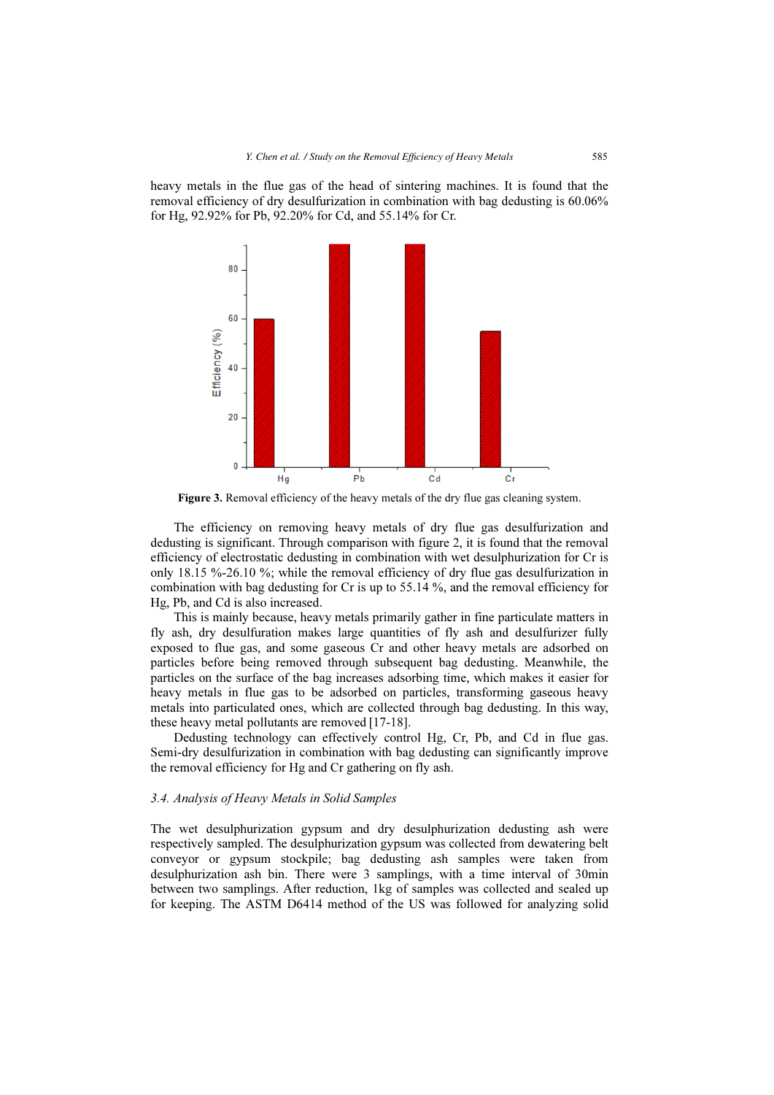heavy metals in the flue gas of the head of sintering machines. It is found that the removal efficiency of dry desulfurization in combination with bag dedusting is 60.06% for Hg, 92.92% for Pb, 92.20% for Cd, and 55.14% for Cr.



Figure 3. Removal efficiency of the heavy metals of the dry flue gas cleaning system.

The efficiency on removing heavy metals of dry flue gas desulfurization and dedusting is significant. Through comparison with figure 2, it is found that the removal efficiency of electrostatic dedusting in combination with wet desulphurization for Cr is only 18.15 %-26.10 %; while the removal efficiency of dry flue gas desulfurization in combination with bag dedusting for Cr is up to 55.14 %, and the removal efficiency for Hg, Pb, and Cd is also increased.

This is mainly because, heavy metals primarily gather in fine particulate matters in fly ash, dry desulfuration makes large quantities of fly ash and desulfurizer fully exposed to flue gas, and some gaseous Cr and other heavy metals are adsorbed on particles before being removed through subsequent bag dedusting. Meanwhile, the particles on the surface of the bag increases adsorbing time, which makes it easier for heavy metals in flue gas to be adsorbed on particles, transforming gaseous heavy metals into particulated ones, which are collected through bag dedusting. In this way, these heavy metal pollutants are removed [17-18].

Dedusting technology can effectively control Hg, Cr, Pb, and Cd in flue gas. Semi-dry desulfurization in combination with bag dedusting can significantly improve the removal efficiency for Hg and Cr gathering on fly ash.

## 3.4. Analysis of Heavy Metals in Solid Samples

The wet desulphurization gypsum and dry desulphurization dedusting ash were respectively sampled. The desulphurization gypsum was collected from dewatering belt conveyor or gypsum stockpile; bag dedusting ash samples were taken from desulphurization ash bin. There were 3 samplings, with a time interval of 30min between two samplings. After reduction, 1kg of samples was collected and sealed up for keeping. The ASTM D6414 method of the US was followed for analyzing solid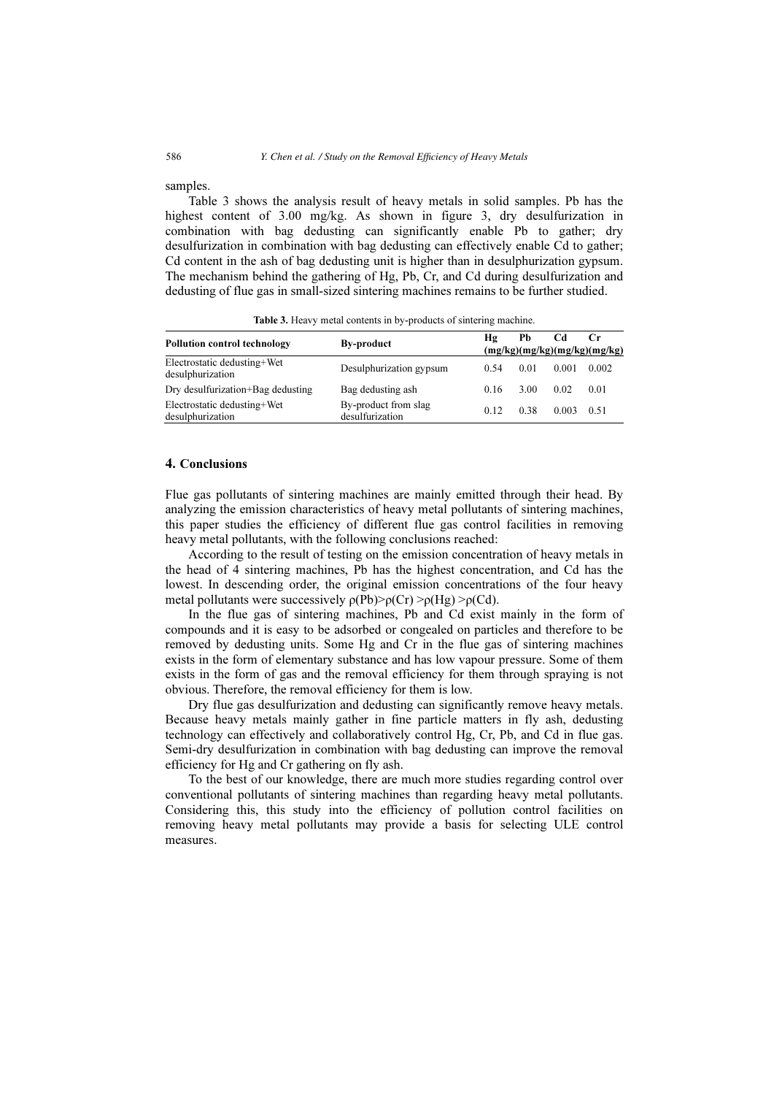samples.

Table 3 shows the analysis result of heavy metals in solid samples. Pb has the highest content of 3.00 mg/kg. As shown in figure 3, dry desulfurization in combination with bag dedusting can significantly enable Pb to gather; dry desulfurization in combination with bag dedusting can effectively enable Cd to gather; Cd content in the ash of bag dedusting unit is higher than in desulphurization gypsum. The mechanism behind the gathering of Hg, Pb, Cr, and Cd during desulfurization and dedusting of flue gas in small-sized sintering machines remains to be further studied.

| <b>Pollution control technology</b>             | <b>By-product</b>                       | Hα   | Рb   | Cd    | Cr<br>(mg/kg)(mg/kg)(mg/kg)(mg/kg) |
|-------------------------------------------------|-----------------------------------------|------|------|-------|------------------------------------|
| Electrostatic dedusting+Wet<br>desulphurization | Desulphurization gypsum                 | 0.54 | 0.01 | 0.001 | 0.002                              |
| Dry desulfurization+Bag dedusting               | Bag dedusting ash                       | 0.16 | 3.00 | 0.02  | 0.01                               |
| Electrostatic dedusting+Wet<br>desulphurization | By-product from slag<br>desulfurization | 0.12 | 0.38 | 0.003 | 0.51                               |

Table 3. Heavy metal contents in by-products of sintering machine.

## 4. Conclusions

Flue gas pollutants of sintering machines are mainly emitted through their head. By analyzing the emission characteristics of heavy metal pollutants of sintering machines, this paper studies the efficiency of different flue gas control facilities in removing heavy metal pollutants, with the following conclusions reached:

According to the result of testing on the emission concentration of heavy metals in the head of 4 sintering machines, Pb has the highest concentration, and Cd has the lowest. In descending order, the original emission concentrations of the four heavy metal pollutants were successively  $\rho(Pb) > \rho(Cr) > \rho(Hg) > \rho(Cd)$ .

In the flue gas of sintering machines, Pb and Cd exist mainly in the form of compounds and it is easy to be adsorbed or congealed on particles and therefore to be removed by dedusting units. Some Hg and Cr in the flue gas of sintering machines exists in the form of elementary substance and has low vapour pressure. Some of them exists in the form of gas and the removal efficiency for them through spraying is not obvious. Therefore, the removal efficiency for them is low.

Dry flue gas desulfurization and dedusting can significantly remove heavy metals. Because heavy metals mainly gather in fine particle matters in fly ash, dedusting technology can effectively and collaboratively control Hg, Cr, Pb, and Cd in flue gas. Semi-dry desulfurization in combination with bag dedusting can improve the removal efficiency for Hg and Cr gathering on fly ash.

To the best of our knowledge, there are much more studies regarding control over conventional pollutants of sintering machines than regarding heavy metal pollutants. Considering this, this study into the efficiency of pollution control facilities on removing heavy metal pollutants may provide a basis for selecting ULE control measures.